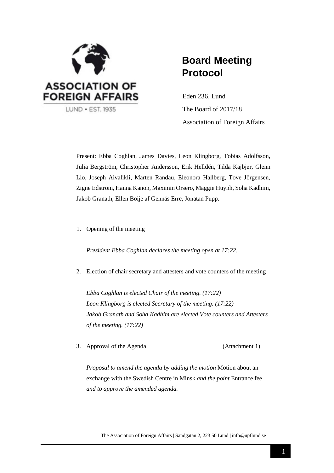

# **Board Meeting Protocol**

Eden 236, Lund The Board of 2017/18 Association of Foreign Affairs

Present: Ebba Coghlan, James Davies, Leon Klingborg, Tobias Adolfsson, Julia Bergström, Christopher Andersson, Erik Helldén, Tilda Kajbjer, Glenn Lio, Joseph Aivalikli, Mårten Randau, Eleonora Hallberg, Tove Jörgensen, Zigne Edström, Hanna Kanon, Maximin Orsero, Maggie Huynh, Soha Kadhim, Jakob Granath, Ellen Boije af Gennäs Erre, Jonatan Pupp.

1. Opening of the meeting

*President Ebba Coghlan declares the meeting open at 17:22.*

2. Election of chair secretary and attesters and vote counters of the meeting

*Ebba Coghlan is elected Chair of the meeting. (17:22) Leon Klingborg is elected Secretary of the meeting. (17:22) Jakob Granath and Soha Kadhim are elected Vote counters and Attesters of the meeting. (17:22)*

3. Approval of the Agenda (Attachment 1)

*Proposal to amend the agenda by adding the motion* Motion about an exchange with the Swedish Centre in Minsk *and the point* Entrance fee *and to approve the amended agenda.*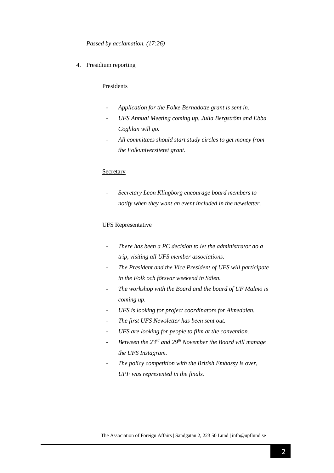*Passed by acclamation. (17:26)*

4. Presidium reporting

#### Presidents

- *- Application for the Folke Bernadotte grant is sent in.*
- *- UFS Annual Meeting coming up, Julia Bergström and Ebba Coghlan will go.*
- *- All committees should start study circles to get money from the Folkuniversitetet grant.*

#### Secretary

- *Secretary Leon Klingborg encourage board members to notify when they want an event included in the newsletter.*

## UFS Representative

- *There has been a PC decision to let the administrator do a trip, visiting all UFS member associations.*
- *The President and the Vice President of UFS will participate in the Folk och försvar weekend in Sälen.*
- *The workshop with the Board and the board of UF Malmö is coming up.*
- *UFS is looking for project coordinators for Almedalen.*
- *The first UFS Newsletter has been sent out.*
- *UFS are looking for people to film at the convention.*
- *Between the 23rd and 29th November the Board will manage the UFS Instagram.*
- *The policy competition with the British Embassy is over, UPF was represented in the finals.*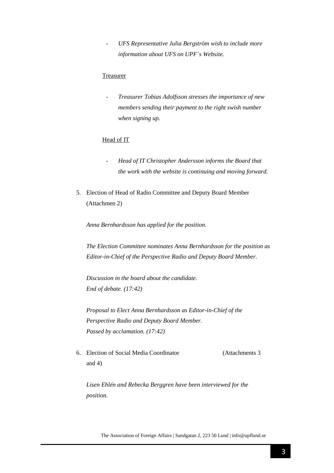- *UFS Representative Julia Bergström wish to include more information about UFS on UPF´s Website.*

#### **Treasurer**

- *Treasurer Tobias Adolfsson stresses the importance of new members sending their payment to the right swish number when signing up.*

## Head of IT

- *Head of IT Christopher Andersson informs the Board that the work with the website is continuing and moving forward.*
- 5. Election of Head of Radio Committee and Deputy Board Member (Attachmen 2)

*Anna Bernhardsson has applied for the position.*

*The Election Committee nominates Anna Bernhardsson for the position as Editor-in-Chief of the Perspective Radio and Deputy Board Member.*

*Discussion in the board about the candidate. End of debate. (17:42)*

*Proposal to Elect Anna Bernhardsson as Editor-in-Chief of the Perspective Radio and Deputy Board Member. Passed by acclamation. (17:42)*

6. Election of Social Media Coordinator (Attachments 3 and 4)

*Lisen Ehlén and Rebecka Berggren have been interviewed for the position.*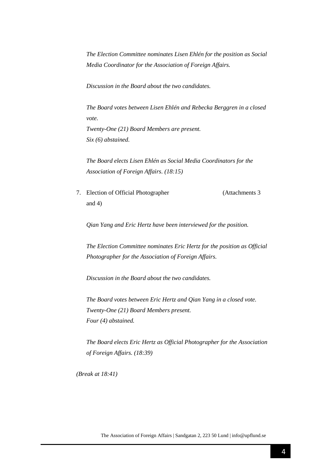*The Election Committee nominates Lisen Ehlén for the position as Social Media Coordinator for the Association of Foreign Affairs.*

*Discussion in the Board about the two candidates.*

*The Board votes between Lisen Ehlén and Rebecka Berggren in a closed vote. Twenty-One (21) Board Members are present. Six (6) abstained.*

*The Board elects Lisen Ehlén as Social Media Coordinators for the Association of Foreign Affairs. (18:15)*

7. Election of Official Photographer (Attachments 3 and 4)

*Qian Yang and Eric Hertz have been interviewed for the position.*

*The Election Committee nominates Eric Hertz for the position as Official Photographer for the Association of Foreign Affairs.*

*Discussion in the Board about the two candidates.*

*The Board votes between Eric Hertz and Qian Yang in a closed vote. Twenty-One (21) Board Members present. Four (4) abstained.*

*The Board elects Eric Hertz as Official Photographer for the Association of Foreign Affairs. (18:39)*

*(Break at 18:41)*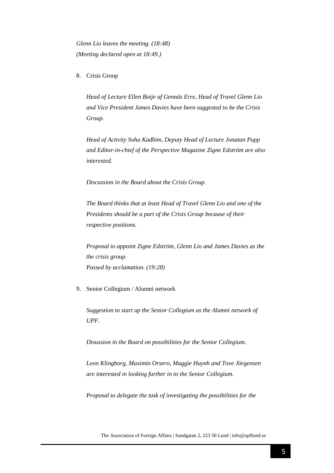*Glenn Lio leaves the meeting. (18:48) (Meeting declared open at 18:49.)*

8. Crisis Group

*Head of Lecture Ellen Boije af Gennäs Erre, Head of Travel Glenn Lio and Vice President James Davies have been suggested to be the Crisis Group.*

*Head of Activity Soha Kadhim, Deputy Head of Lecture Jonatan Pupp and Editor-in-chief of the Perspective Magazine Zigne Edström are also interested.*

*Discussion in the Board about the Crisis Group.*

*The Board thinks that at least Head of Travel Glenn Lio and one of the Presidents should be a part of the Crisis Group because of their respective positions.*

*Proposal to appoint Zigne Edström, Glenn Lio and James Davies as the the crisis group. Passed by acclamation. (19:28)*

#### 9. Senior Collegium / Alumni network

*Suggestion to start up the Senior Collegium as the Alumni network of UPF.*

*Disussion in the Board on possibilities for the Senior Collegium.*

*Leon Klingborg, Maximin Orsero, Maggie Huynh and Tove Jörgensen are interested in looking further in to the Senior Collegium.*

*Proposal to delegate the task of investigating the possibilities for the*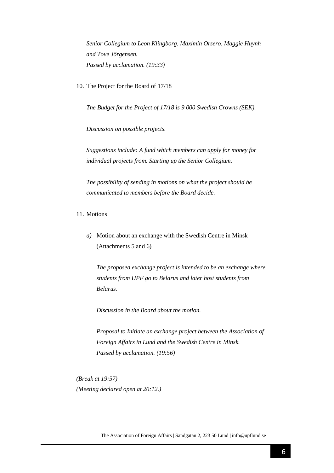*Senior Collegium to Leon Klingborg, Maximin Orsero, Maggie Huynh and Tove Jörgensen. Passed by acclamation. (19:33)*

10. The Project for the Board of 17/18

*The Budget for the Project of 17/18 is 9 000 Swedish Crowns (SEK).*

*Discussion on possible projects.*

*Suggestions include: A fund which members can apply for money for individual projects from. Starting up the Senior Collegium.* 

*The possibility of sending in motions on what the project should be communicated to members before the Board decide.*

- 11. Motions
	- *a)* Motion about an exchange with the Swedish Centre in Minsk (Attachments 5 and 6)

*The proposed exchange project is intended to be an exchange where students from UPF go to Belarus and later host students from Belarus.*

*Discussion in the Board about the motion.*

*Proposal to Initiate an exchange project between the Association of Foreign Affairs in Lund and the Swedish Centre in Minsk. Passed by acclamation. (19:56)*

*(Break at 19:57) (Meeting declared open at 20:12.)*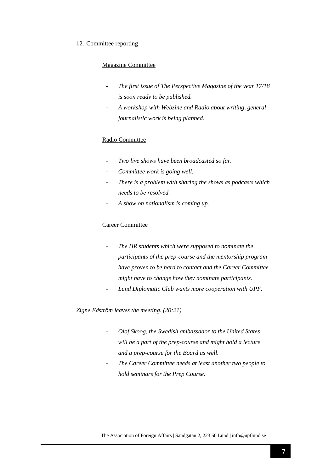#### 12. Committee reporting

## Magazine Committee

- *The first issue of The Perspective Magazine of the year 17/18 is soon ready to be published.*
- *A workshop with Webzine and Radio about writing, general journalistic work is being planned.*

## Radio Committee

- *Two live shows have been broadcasted so far.*
- *Committee work is going well.*
- *There is a problem with sharing the shows as podcasts which needs to be resolved.*
- *A show on nationalism is coming up.*

## Career Committee

- *The HR students which were supposed to nominate the participants of the prep-course and the mentorship program have proven to be hard to contact and the Career Committee might have to change how they nominate participants.*
- *Lund Diplomatic Club wants more cooperation with UPF.*

*Zigne Edström leaves the meeting. (20:21)*

- *- Olof Skoog, the Swedish ambassador to the United States will be a part of the prep-course and might hold a lecture and a prep-course for the Board as well.*
- *- The Career Committee needs at least another two people to hold seminars for the Prep Course.*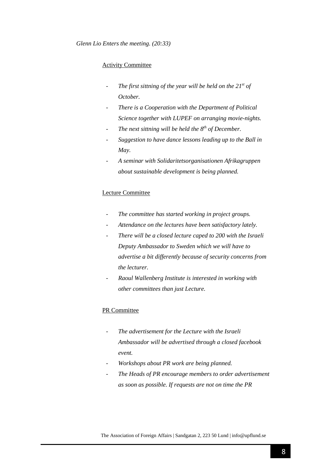## Activity Committee

- *The first sittning of the year will be held on the 21st of October.*
- *There is a Cooperation with the Department of Political Science together with LUPEF on arranging movie-nights.*
- *The next sittning will be held the 8 th of December.*
- *Suggestion to have dance lessons leading up to the Ball in May.*
- *A seminar with Solidaritetsorganisationen Afrikagruppen about sustainable development is being planned.*

#### Lecture Committee

- The committee has started working in project groups.
- *Attendance on the lectures have been satisfactory lately.*
- *There will be a closed lecture caped to 200 with the Israeli Deputy Ambassador to Sweden which we will have to advertise a bit differently because of security concerns from the lecturer.*
- *Raoul Wallenberg Institute is interested in working with other committees than just Lecture.*

#### PR Committee

- *The advertisement for the Lecture with the Israeli Ambassador will be advertised through a closed facebook event.*
- *Workshops about PR work are being planned.*
- *The Heads of PR encourage members to order advertisement as soon as possible. If requests are not on time the PR*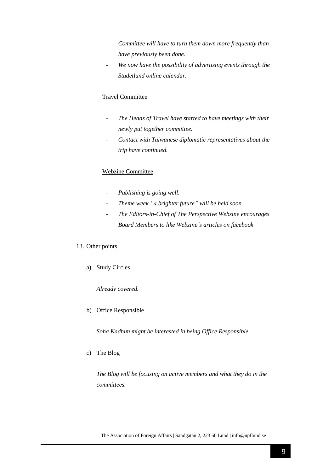*Committee will have to turn them down more frequently than have previously been done.* 

- *We now have the possibility of advertising events through the Studetlund online calendar.*

## Travel Committee

- *The Heads of Travel have started to have meetings with their newly put together committee.*
- *Contact with Taiwanese diplomatic representatives about the trip have continued.*

## Webzine Committee

- *Publishing is going well.*
- *Theme week "a brighter future" will be held soon.*
- *The Editors-in-Chief of The Perspective Webzine encourages Board Members to like Webzine´s articles on facebook*

## 13. Other points

a) Study Circles

*Already covered.*

b) Office Responsible

*Soha Kadhim might be interested in being Office Responsible.* 

c) The Blog

*The Blog will be focusing on active members and what they do in the committees.*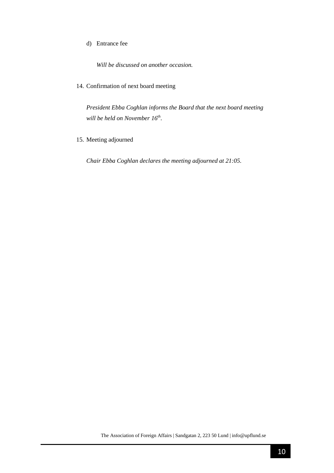## d) Entrance fee

*Will be discussed on another occasion.*

14. Confirmation of next board meeting

*President Ebba Coghlan informs the Board that the next board meeting will be held on November 16th* .

15. Meeting adjourned

*Chair Ebba Coghlan declares the meeting adjourned at 21:05.*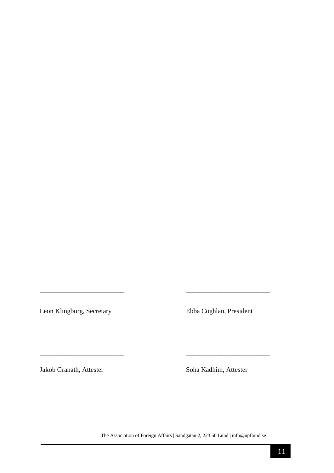Leon Klingborg, Secretary Ebba Coghlan, President

Jakob Granath, Attester Soha Kadhim, Attester

The Association of Foreign Affairs | Sandgatan 2, 223 50 Lund | info@upflund.se

*\_\_\_\_\_\_\_\_\_\_\_\_\_\_\_\_\_\_\_\_\_\_\_\_\_ \_\_\_\_\_\_\_\_\_\_\_\_\_\_\_\_\_\_\_\_\_\_\_\_\_* 

\_\_\_\_\_\_\_\_\_\_\_\_\_\_\_\_\_\_\_\_\_\_\_\_\_ \_\_\_\_\_\_\_\_\_\_\_\_\_\_\_\_\_\_\_\_\_\_\_\_\_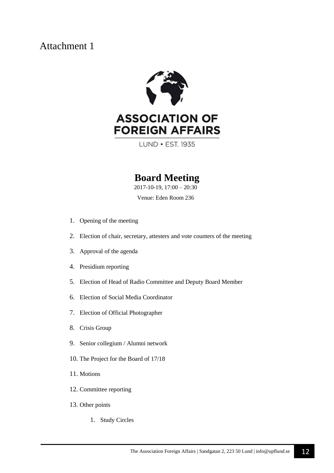

# **FOREIGN AFFAIRS**

LUND • EST. 1935

## **Board Meeting**

2017-10-19, 17:00 – 20:30

Venue: Eden Room 236

- 1. Opening of the meeting
- 2. Election of chair, secretary, attesters and vote counters of the meeting
- 3. Approval of the agenda
- 4. Presidium reporting
- 5. Election of Head of Radio Committee and Deputy Board Member
- 6. Election of Social Media Coordinator
- 7. Election of Official Photographer
- 8. Crisis Group
- 9. Senior collegium / Alumni network
- 10. The Project for the Board of 17/18
- 11. Motions
- 12. Committee reporting
- 13. Other points
	- 1. Study Circles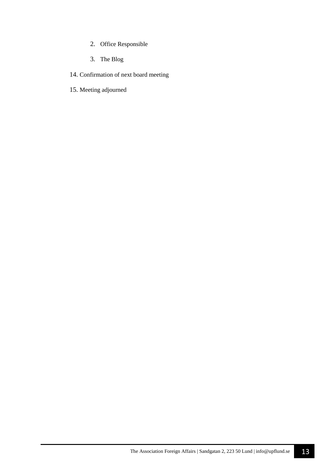- 2. Office Responsible
- 3. The Blog
- 14. Confirmation of next board meeting
- 15. Meeting adjourned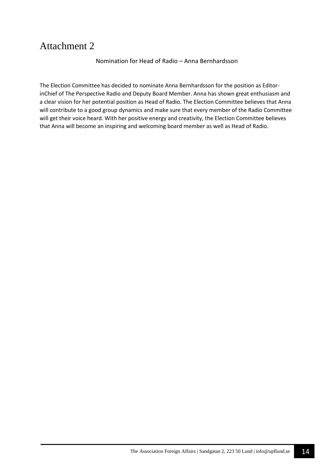Nomination for Head of Radio – Anna Bernhardsson

The Election Committee has decided to nominate Anna Bernhardsson for the position as EditorinChief of The Perspective Radio and Deputy Board Member. Anna has shown great enthusiasm and a clear vision for her potential position as Head of Radio. The Election Committee believes that Anna will contribute to a good group dynamics and make sure that every member of the Radio Committee will get their voice heard. With her positive energy and creativity, the Election Committee believes that Anna will become an inspiring and welcoming board member as well as Head of Radio.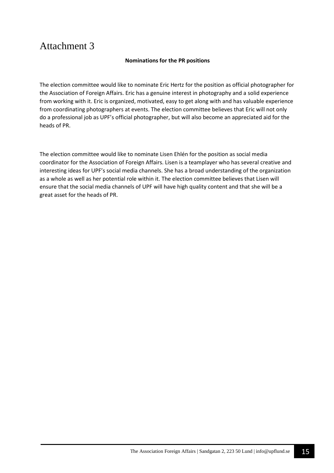## **Nominations for the PR positions**

The election committee would like to nominate Eric Hertz for the position as official photographer for the Association of Foreign Affairs. Eric has a genuine interest in photography and a solid experience from working with it. Eric is organized, motivated, easy to get along with and has valuable experience from coordinating photographers at events. The election committee believes that Eric will not only do a professional job as UPF's official photographer, but will also become an appreciated aid for the heads of PR.

The election committee would like to nominate Lisen Ehlén for the position as social media coordinator for the Association of Foreign Affairs. Lisen is a teamplayer who has several creative and interesting ideas for UPF's social media channels. She has a broad understanding of the organization as a whole as well as her potential role within it. The election committee believes that Lisen will ensure that the social media channels of UPF will have high quality content and that she will be a great asset for the heads of PR.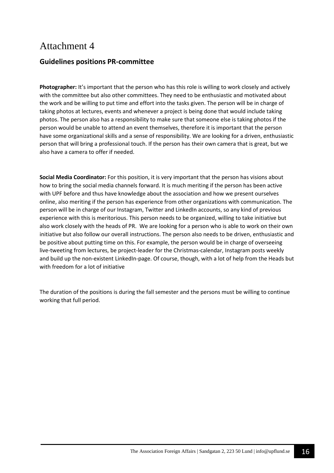## **Guidelines positions PR-committee**

**Photographer:** It's important that the person who has this role is willing to work closely and actively with the committee but also other committees. They need to be enthusiastic and motivated about the work and be willing to put time and effort into the tasks given. The person will be in charge of taking photos at lectures, events and whenever a project is being done that would include taking photos. The person also has a responsibility to make sure that someone else is taking photos if the person would be unable to attend an event themselves, therefore it is important that the person have some organizational skills and a sense of responsibility. We are looking for a driven, enthusiastic person that will bring a professional touch. If the person has their own camera that is great, but we also have a camera to offer if needed.

**Social Media Coordinator:** For this position, it is very important that the person has visions about how to bring the social media channels forward. It is much meriting if the person has been active with UPF before and thus have knowledge about the association and how we present ourselves online, also meriting if the person has experience from other organizations with communication. The person will be in charge of our Instagram, Twitter and LinkedIn accounts, so any kind of previous experience with this is meritorious. This person needs to be organized, willing to take initiative but also work closely with the heads of PR. We are looking for a person who is able to work on their own initiative but also follow our overall instructions. The person also needs to be driven, enthusiastic and be positive about putting time on this. For example, the person would be in charge of overseeing live-tweeting from lectures, be project-leader for the Christmas-calendar, Instagram posts weekly and build up the non-existent LinkedIn-page. Of course, though, with a lot of help from the Heads but with freedom for a lot of initiative

The duration of the positions is during the fall semester and the persons must be willing to continue working that full period.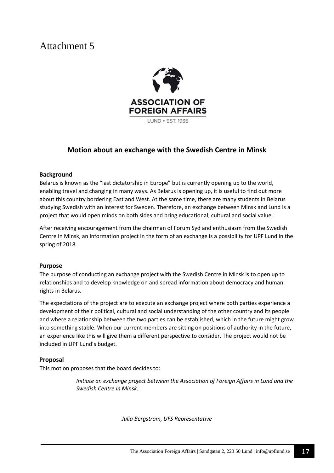

## **Motion about an exchange with the Swedish Centre in Minsk**

## **Background**

Belarus is known as the "last dictatorship in Europe" but is currently opening up to the world, enabling travel and changing in many ways. As Belarus is opening up, it is useful to find out more about this country bordering East and West. At the same time, there are many students in Belarus studying Swedish with an interest for Sweden. Therefore, an exchange between Minsk and Lund is a project that would open minds on both sides and bring educational, cultural and social value.

After receiving encouragement from the chairman of Forum Syd and enthusiasm from the Swedish Centre in Minsk, an information project in the form of an exchange is a possibility for UPF Lund in the spring of 2018.

## **Purpose**

The purpose of conducting an exchange project with the Swedish Centre in Minsk is to open up to relationships and to develop knowledge on and spread information about democracy and human rights in Belarus.

The expectations of the project are to execute an exchange project where both parties experience a development of their political, cultural and social understanding of the other country and its people and where a relationship between the two parties can be established, which in the future might grow into something stable. When our current members are sitting on positions of authority in the future, an experience like this will give them a different perspective to consider. The project would not be included in UPF Lund's budget.

## **Proposal**

This motion proposes that the board decides to:

*Initiate an exchange project between the Association of Foreign Affairs in Lund and the Swedish Centre in Minsk.* 

*Julia Bergström, UFS Representative*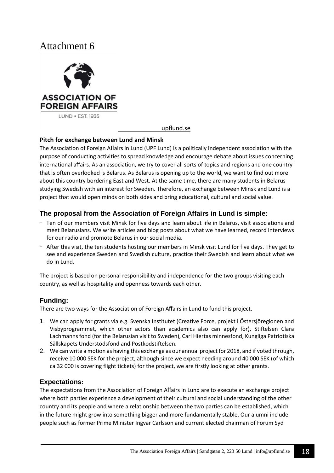

## [upflund.se](http://upflund.se/)

## **Pitch for exchange between Lund and Minsk**

The Association of Foreign Affairs in Lund (UPF Lund) is a politically independent association with the purpose of conducting activities to spread knowledge and encourage debate about issues concerning international affairs. As an association, we try to cover all sorts of topics and regions and one country that is often overlooked is Belarus. As Belarus is opening up to the world, we want to find out more about this country bordering East and West. At the same time, there are many students in Belarus studying Swedish with an interest for Sweden. Therefore, an exchange between Minsk and Lund is a project that would open minds on both sides and bring educational, cultural and social value.

## **The proposal from the Association of Foreign Affairs in Lund is simple:**

- Ten of our members visit Minsk for five days and learn about life in Belarus, visit associations and meet Belarusians. We write articles and blog posts about what we have learned, record interviews for our radio and promote Belarus in our social media.
- After this visit, the ten students hosting our members in Minsk visit Lund for five days. They get to see and experience Sweden and Swedish culture, practice their Swedish and learn about what we do in Lund.

The project is based on personal responsibility and independence for the two groups visiting each country, as well as hospitality and openness towards each other.

## **Funding:**

There are two ways for the Association of Foreign Affairs in Lund to fund this project.

- 1. We can apply for grants via e.g. Svenska Institutet (Creative Force, projekt i Östersjöregionen and Visbyprogrammet, which other actors than academics also can apply for), Stiftelsen Clara Lachmanns fond (for the Belarusian visit to Sweden), Carl Hiertas minnesfond, Kungliga Patriotiska Sällskapets Understödsfond and Postkodstiftelsen.
- 2. We can write a motion as having this exchange as our annual project for 2018, and if voted through, receive 10 000 SEK for the project, although since we expect needing around 40 000 SEK (of which ca 32 000 is covering flight tickets) for the project, we are firstly looking at other grants.

## **Expectations:**

The expectations from the Association of Foreign Affairs in Lund are to execute an exchange project where both parties experience a development of their cultural and social understanding of the other country and its people and where a relationship between the two parties can be established, which in the future might grow into something bigger and more fundamentally stable. Our alumni include people such as former Prime Minister Ingvar Carlsson and current elected chairman of Forum Syd